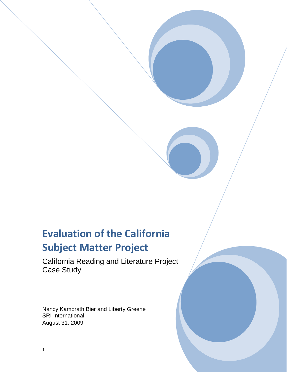# **Evaluation of the California Subject Matter Project**

California Reading and Literature Project Case Study

Nancy Kamprath Bier and Liberty Greene SRI International August 31, 2009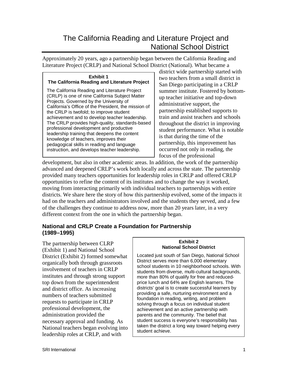# The California Reading and Literature Project and National School District

Approximately 20 years, ago a partnership began between the California Reading and Literature Project (CRLP) and National School District (National). What became a

# **Exhibit 1 The California Reading and Literature Project**

The California Reading and Literature Project (CRLP) is one of nine California Subject Matter Projects. Governed by the University of California's Office of the President, the mission of the CRLP is twofold; to improve student achievement and to develop teacher leadership. The CRLP provides high-quality, standards-based professional development and productive leadership training that deepens the content knowledge of teachers, improves their pedagogical skills in reading and language instruction, and develops teacher leadership.

district wide partnership started with two teachers from a small district in San Diego participating in a CRLP summer institute. Fostered by bottomup teacher initiative and top-down administrative support, the partnership established supports to train and assist teachers and schools throughout the district in improving student performance. What is notable is that during the time of the partnership, this improvement has occurred not only in reading, the focus of the professional

development, but also in other academic areas. In addition, the work of the partnership advanced and deepened CRLP's work both locally and across the state. The partnership provided many teachers opportunities for leadership roles in CRLP and offered CRLP opportunities to refine the content of its institutes and to change the way it worked, moving from interacting primarily with individual teachers to partnerships with entire districts. We share here the story of how this partnership evolved, some of the impacts it had on the teachers and administrators involved and the students they served, and a few of the challenges they continue to address now, more than 20 years later, in a very different context from the one in which the partnership began.

#### **National and CRLP Create a Foundation for Partnership (1989–1995)**

The partnership between CLRP (Exhibit 1) and National School District (Exhibit 2) formed somewhat organically both through grassroots involvement of teachers in CRLP institutes and through strong support top down from the superintendent and district office. As increasing numbers of teachers submitted requests to participate in CRLP professional development, the administration provided the necessary approval and funding. As National teachers began evolving into leadership roles at CRLP, and with

#### **Exhibit 2 National School District**

Located just south of San Diego, National School District serves more than 6,000 elementary school students in 10 neighborhood schools. With students from diverse, multi-cultural backgrounds, more than 80% of qualify for free and reducedprice lunch and 64% are English learners. The districts' goal is to create successful learners by providing a safe, nurturing environment and a foundation in reading, writing, and problem solving through a focus on individual student achievement and an active partnership with parents and the community. The belief that student success is everyone's responsibility has taken the district a long way toward helping every student achieve.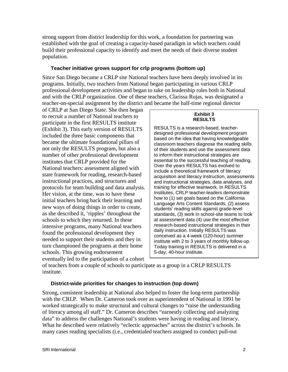strong support from district leadership for this work, a foundation for partnering was established with the goal of creating a capacity-based paradigm in which teachers could build their professional capacity to identify and meet the needs of their diverse student population.

#### **Teacher initiative grows support for crlp programs (bottom up)**

Since San Diego became a CRLP site National teachers have been deeply involved in its programs. Initially, two teachers from National began participating in various CRLP professional development activities and began to take on leadership roles both in National and with the CRLP organization. One of these teachers, Clarissa Rojas, was designated a teacher-on-special assignment by the district and became the half-time regional director

of CRLP at San Diego State. She then began to recruit a number of National teachers to participate in the first RESULTS institute (Exhibit 3). This early version of RESULTS included the three basic components that became the ultimate foundational pillars of not only the RESULTS program, but also a number of other professional development institutes that CRLP provided for the National teachers: assessment aligned with state framework for reading, research-based instructional practices, and structures and protocols for team building and data analysis. Her vision, at the time, was to have these initial teachers bring back their learning and new ways of doing things in order to create, as she described it, 'ripples' throughout the schools to which they returned. In these intensive programs, many National teachers found the professional development they needed to support their students and they in turn championed the programs at their home schools. This growing endorsement eventually led to the participation of a cohort

#### **Exhibit 3 RESULTS**

RESULTS is a research-based, teacherdesigned professional development program based on the idea that having knowledgeable classroom teachers diagnose the reading skills of their students and use the assessment data to inform their instructional strategies are essential to the successful teaching of reading. Over the years RESULTS has evolved to include a theoretical framework of literacy acquisition and literacy instruction, assessments and instructional strategies, data analyses, and training for effective teamwork. In RESULTS Institutes, CRLP teacher-leaders demonstrate how to (1) set goals based on the California Language Arts Content Standards, (2) assess students' reading skills against grade-level standards, (3) work in school-site teams to look at assessment data (4) use the most effective research-based instructional strategies in their daily instruction. Initially RESULTS was conceived as a 4-week (120-hour) summer institute with 2 to 3 years of monthly follow-up. Today training in RESULTS is delivered in a 5-day, 40-hour institute.

of teachers from a couple of schools to participate as a group in a CRLP RESULTS institute.

#### **District-wide priorities for changes to instruction (top down)**

Strong, consistent leadership at National also helped to foster the long-term partnership with the CRLP. When Dr. Cameron took over as superintendent of National in 1991 he worked strategically to make structural and cultural changes to "raise the understanding of literacy among all staff." Dr. Cameron describes "earnestly collecting and analyzing data" to address the challenges National's students were having in reading and literacy. What he described were relatively "eclectic approaches" across the district's schools. In many cases reading specialists (i.e., credentialed teachers assigned to conduct pull-out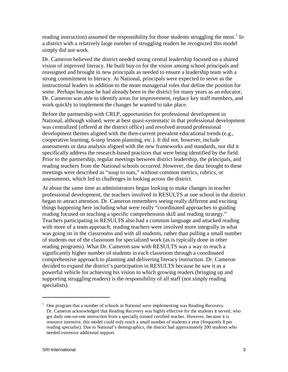reading instruction) assumed the responsibility for those students struggling the most.<sup>[1](#page-4-0)</sup> In a district with a relatively large number of struggling readers he recognized this model simply did not work.

Dr. Cameron believed the district needed strong central leadership focused on a shared vision of improved literacy. He built buy-in for the vision among school principals and reassigned and brought in new principals as needed to ensure a leadership team with a strong commitment to literacy. At National, principals were expected to serve as the instructional leaders in addition to the more managerial roles that define the position for some. Perhaps because he had already been in the district for many years as an educator, Dr. Cameron was able to identify areas for improvement, replace key staff members, and work quickly to implement the changes he wanted to take place.

Before the partnership with CRLP, opportunities for professional development in National, although valued, were at best quasi-systematic in that professional development was centralized (offered at the district office) and revolved around professional development themes aligned with the then-current prevalent educational trends (e.g., cooperative learning, 6-step lesson planning, etc.). It did not, however, include assessments or data analysis aligned with the new frameworks and standards, nor did it specifically address the research-based practices that were being identified by the field. Prior to the partnership, regular meetings between district leadership, the principals, and reading teachers from the National schools occurred. However, the data brought to these meetings were described as "soup to nuts," without common metrics, rubrics, or assessments, which led to challenges in looking across the district.

At about the same time as administrators began looking to make changes in teacher professional development, the teachers involved in RESULTS at one school in the district began to attract attention. Dr. Cameron remembers seeing really different and exciting things happening here including what were really "coordinated approaches to guiding reading focused on teaching a specific comprehension skill and reading strategy." Teachers participating in RESULTS also had a common language and attacked reading with more of a team approach; reading teachers were involved more integrally in what was going on in the classrooms and with all students, rather than pulling a small number of students out of the classroom for specialized work (as is typically done in other reading programs). What Dr. Cameron saw with RESULTS was a way to reach a significantly higher number of students in each classroom through a coordinated comprehensive approach to planning and delivering literacy instruction. Dr. Cameron decided to expand the district's participation in RESULTS because he saw it as a powerful vehicle for achieving his vision in which growing readers (bringing up and supporting struggling readers) is the responsibility of all staff (not simply reading specialists).

 $\overline{a}$ 

<span id="page-4-0"></span><sup>&</sup>lt;sup>1</sup> One program that a number of schools in National were implementing was Reading Recovery. Dr. Cameron acknowledged that Reading Recovery was highly effective for the students it served, who got daily one-on-one instruction from a specially trained certified teacher. However, because it is resource intensive, this model could only reach a small number of students a year (frequently 8 per reading specialist). Due to National's demographics, the district had approximately 200 students who needed extensive additional support.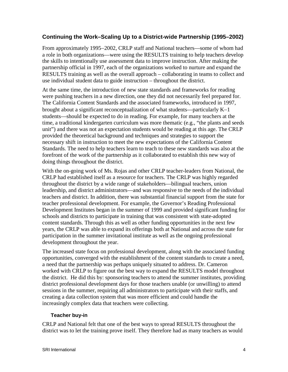## **Continuing the Work–Scaling Up to a District-wide Partnership (1995–2002)**

From approximately 1995−2002, CRLP staff and National teachers—some of whom had a role in both organizations—were using the RESULTS training to help teachers develop the skills to intentionally use assessment data to improve instruction. After making the partnership official in 1997, each of the organizations worked to nurture and expand the RESULTS training as well as the overall approach – collaborating in teams to collect and use individual student data to guide instruction – throughout the district.

At the same time, the introduction of new state standards and frameworks for reading were pushing teachers in a new direction, one they did not necessarily feel prepared for. The California Content Standards and the associated frameworks, introduced in 1997, brought about a significant reconceptualization of what students—particularly K−1 students—should be expected to do in reading. For example, for many teachers at the time, a traditional kindergarten curriculum was more thematic (e.g., "the plants and seeds unit") and there was not an expectation students would be reading at this age. The CRLP provided the theoretical background and techniques and strategies to support the necessary shift in instruction to meet the new expectations of the California Content Standards. The need to help teachers learn to teach to these new standards was also at the forefront of the work of the partnership as it collaborated to establish this new way of doing things throughout the district.

With the on-going work of Ms. Rojas and other CRLP teacher-leaders from National, the CRLP had established itself as a resource for teachers. The CRLP was highly regarded throughout the district by a wide range of stakeholders—bilingual teachers, union leadership, and district administrators—and was responsive to the needs of the individual teachers and district. In addition, there was substantial financial support from the state for teacher professional development. For example, the Governor's Reading Professional Development Institutes began in the summer of 1999 and provided significant funding for schools and districts to participate in training that was consistent with state-adopted content standards. Through this as well as other funding opportunities in the next few years, the CRLP was able to expand its offerings both at National and across the state for participation in the summer invitational institute as well as the ongoing professional development throughout the year.

The increased state focus on professional development, along with the associated funding opportunities, converged with the establishment of the content standards to create a need, a need that the partnership was perhaps uniquely situated to address. Dr. Cameron worked with CRLP to figure out the best way to expand the RESULTS model throughout the district. He did this by: sponsoring teachers to attend the summer institutes, providing district professional development days for those teachers unable (or unwilling) to attend sessions in the summer, requiring all administrators to participate with their staffs, and creating a data collection system that was more efficient and could handle the increasingly complex data that teachers were collecting.

#### **Teacher buy-in**

CRLP and National felt that one of the best ways to spread RESULTS throughout the district was to let the training prove itself. They therefore had as many teachers as would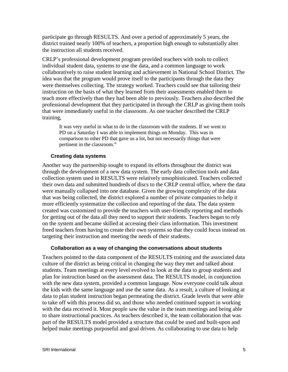participate go through RESULTS. And over a period of approximately 5 years, the district trained nearly 100% of teachers, a proportion high enough to substantially alter the instruction all students received.

CRLP's professional development program provided teachers with tools to collect individual student data, systems to use the data, and a common language to work collaboratively to raise student learning and achievement in National School District. The idea was that the program would prove itself to the participants through the data they were themselves collecting. The strategy worked. Teachers could see that tailoring their instruction on the basis of what they learned from their assessments enabled them to teach more effectively than they had been able to previously. Teachers also described the professional development that they participated in through the CRLP as giving them tools that were immediately useful in the classroom. As one teacher described the CRLP training,

It was very useful in what to do in the classroom with the students. If we went to PD on a Saturday I was able to implement things on Monday. This was in comparison to other PD that gave us a lot, but not necessarily things that were pertinent in the classroom."

#### **Creating data systems**

Another way the partnership sought to expand its efforts throughout the district was through the development of a new data system. The early data collection tools and data collection system used in RESULTS were relatively unsophisticated. Teachers collected their own data and submitted hundreds of discs to the CRLP central office, where the data were manually collapsed into one database. Given the growing complexity of the data that was being collected, the district explored a number of private companies to help it more efficiently systematize the collection and reporting of the data. The data system created was customized to provide the teachers with user-friendly reporting and methods for getting out of the data all they need to support their students. Teachers began to rely on the system and became skilled at accessing their class information. This investment freed teachers from having to create their own systems so that they could focus instead on targeting their instruction and meeting the needs of their students.

#### **Collaboration as a way of changing the conversations about students**

Teachers pointed to the data component of the RESULTS training and the associated data culture of the district as being critical in changing the way they met and talked about students. Team meetings at every level evolved to look at the data to group students and plan for instruction based on the assessment data. The RESULTS model, in conjunction with the new data system, provided a common language. Now everyone could talk about the kids with the same language and use the same data. As a result, a culture of looking at data to plan student instruction began permeating the district. Grade levels that were able to take off with this process did so, and those who needed continued support in working with the data received it. Most people saw the value in the team meetings and being able to share instructional practices. As teachers described it, the team collaboration that was part of the RESULTS model provided a structure that could be used and built-upon and helped make meetings purposeful and goal driven. As collaborating to use data to help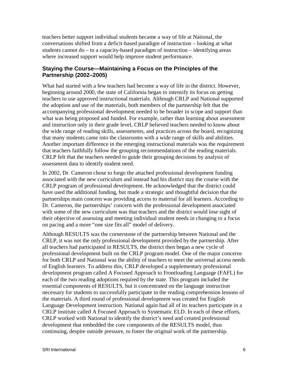teachers better support individual students became a way of life at National, the conversations shifted from a deficit-based paradigm of instruction – looking at what students cannot do – to a capacity-based paradigm of instruction – identifying areas where increased support would help improve student performance.

#### **Staying the Course—Maintaining a Focus on the Principles of the Partnership (2002–2005)**

What had started with a few teachers had become a way of life in the district. However, beginning around 2000, the state of California began to intensify its focus on getting teachers to use approved instructional materials. Although CRLP and National supported the adoption and use of the materials, both members of the partnership felt that the accompanying professional development needed to be broader in scope and support than what was being proposed and funded. For example, rather than learning about assessment and instruction only in their grade level, CRLP believed teachers needed to know about the wide range of reading skills, assessments, and practices across the board, recognizing that many students came into the classrooms with a wide range of skills and abilities. Another important difference in the emerging instructional materials was the requirement that teachers faithfully follow the grouping recommendations of the reading materials. CRLP felt that the teachers needed to guide their grouping decisions by analysis of assessment data to identify student need.

In 2002, Dr. Cameron chose to forgo the attached professional development funding associated with the new curriculum and instead had his district stay the course with the CRLP program of professional development. He acknowledged that the district could have used the additional funding, but made a strategic and thoughtful decision that the partnerships main concern was providing access to material for all learners. According to Dr. Cameron, the partnerships' concern with the professional development associated with some of the new curriculum was that teachers and the district would lose sight of their objective of assessing and meeting individual student needs in changing to a focus on pacing and a more "one size fits all" model of delivery.

Although RESULTS was the cornerstone of the partnership between National and the CRLP, it was not the only professional development provided by the partnership. After all teachers had participated in RESULTS, the district then began a new cycle of professional development built on the CRLP program model. One of the major concerns for both CRLP and National was the ability of teachers to meet the universal access needs of English learners. To address this, CRLP developed a supplementary professional development program called A Focused Approach to Frontloading Language (FAFL) for each of the two reading adoptions required by the state. This program included the essential components of RESULTS, but it concentrated on the language instruction necessary for students to successfully participate in the reading comprehension lessons of the materials. A third round of professional development was created for English Language Development instruction. National again had all of its teachers participate in a CRLP institute called A Focused Approach to Systematic ELD. In each of these efforts, CRLP worked with National to identify the district's need and created professional development that embedded the core components of the RESULTS model, thus continuing, despite outside pressure, to foster the original work of the partnership.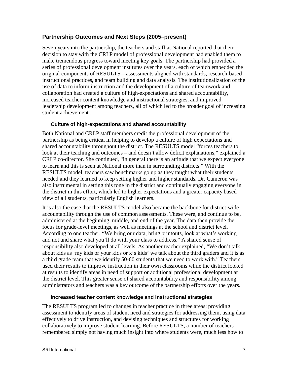### **Partnership Outcomes and Next Steps (2005–present)**

Seven years into the partnership, the teachers and staff at National reported that their decision to stay with the CRLP model of professional development had enabled them to make tremendous progress toward meeting key goals. The partnership had provided a series of professional development institutes over the years, each of which embedded the original components of RESULTS – assessments aligned with standards, research-based instructional practices, and team building and data analysis. The institutionalization of the use of data to inform instruction and the development of a culture of teamwork and collaboration had created a culture of high-expectations and shared accountability, increased teacher content knowledge and instructional strategies, and improved leadership development among teachers, all of which led to the broader goal of increasing student achievement.

#### **Culture of high-expectations and shared accountability**

Both National and CRLP staff members credit the professional development of the partnership as being critical in helping to develop a culture of high expectations and shared accountability throughout the district. The RESULTS model "forces teachers to look at their teaching and outcomes – and doesn't allow deficit explanations," explained a CRLP co-director. She continued, "in general there is an attitude that we expect everyone to learn and this is seen at National more than in surrounding districts." With the RESULTS model, teachers saw benchmarks go up as they taught what their students needed and they learned to keep setting higher and higher standards. Dr. Cameron was also instrumental in setting this tone in the district and continually engaging everyone in the district in this effort, which led to higher expectations and a greater capacity based view of all students, particularly English learners.

It is also the case that the RESULTS model also became the backbone for district-wide accountability through the use of common assessments. These were, and continue to be, administered at the beginning, middle, and end of the year. The data then provide the focus for grade-level meetings, as well as meetings at the school and district level. According to one teacher, "We bring our data, bring printouts, look at what's working and not and share what you'll do with your class to address." A shared sense of responsibility also developed at all levels. As another teacher explained, "We don't talk about kids as 'my kids or your kids or x's kids' we talk about the third graders and it is as a third grade team that we identify 50-60 students that we need to work with." Teachers used their results to improve instruction in their own classrooms while the district looked at results to identify areas in need of support or additional professional development at the district level. This greater sense of shared accountability and responsibility among administrators and teachers was a key outcome of the partnership efforts over the years.

#### **Increased teacher content knowledge and instructional strategies**

The RESULTS program led to changes in teacher practice in three areas: providing assessment to identify areas of student need and strategies for addressing them, using data effectively to drive instruction, and devising techniques and structures for working collaboratively to improve student learning. Before RESULTS, a number of teachers remembered simply not having much insight into where students were, much less how to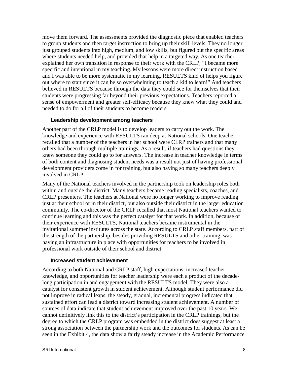move them forward. The assessments provided the diagnostic piece that enabled teachers to group students and then target instruction to bring up their skill levels. They no longer just grouped students into high, medium, and low skills, but figured out the specific areas where students needed help, and provided that help in a targeted way. As one teacher explained her own transition in response to their work with the CRLP, "I became more specific and intentional in my teaching. My lessons were more direct instruction based and I was able to be more systematic in my learning. RESULTS kind of helps you figure out where to start since it can be so overwhelming to teach a kid to learn!" And teachers believed in RESULTS because through the data they could see for themselves that their students were progressing far beyond their previous expectations. Teachers reported a sense of empowerment and greater self-efficacy because they knew what they could and needed to do for all of their students to become readers.

#### **Leadership development among teachers**

Another part of the CRLP model is to develop leaders to carry out the work. The knowledge and experience with RESULTS ran deep at National schools. One teacher recalled that a number of the teachers in her school were CLRP trainers and that many others had been through multiple trainings. As a result, if teachers had questions they knew someone they could go to for answers. The increase in teacher knowledge in terms of both content and diagnosing student needs was a result not just of having professional development providers come in for training, but also having so many teachers deeply involved in CRLP.

Many of the National teachers involved in the partnership took on leadership roles both within and outside the district. Many teachers became reading specialists, coaches, and CRLP presenters. The teachers at National were no longer working to improve reading just at their school or in their district, but also outside their district in the larger education community. The co-director of the CRLP recalled that most National teachers wanted to continue learning and this was the perfect catalyst for that work. In addition, because of their experience with RESULTS, National teachers became instrumental in the invitational summer institutes across the state. According to CRLP staff members, part of the strength of the partnership, besides providing RESULTS and other training, was having an infrastructure in place with opportunities for teachers to be involved in professional work outside of their school and district.

#### **Increased student achievement**

According to both National and CRLP staff, high expectations, increased teacher knowledge, and opportunities for teacher leadership were each a product of the decadelong participation in and engagement with the RESULTS model. They were also a catalyst for consistent growth in student achievement. Although student performance did not improve in radical leaps, the steady, gradual, incremental progress indicated that sustained effort can lead a district toward increasing student achievement. A number of sources of data indicate that student achievement improved over the past 10 years. We cannot definitively link this to the district's participation in the CRLP trainings, but the degree to which the CRLP program was embedded in the district does suggest at least a strong association between the partnership work and the outcomes for students. As can be seen in the Exhibit 4, the data show a fairly steady increase in the Academic Performance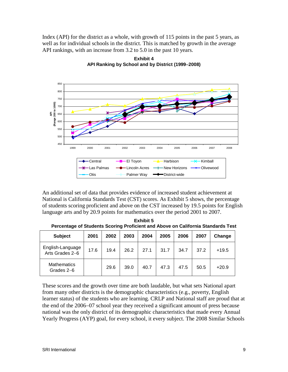Index (API) for the district as a whole, with growth of 115 points in the past 5 years, as well as for individual schools in the district. This is matched by growth in the average API rankings, with an increase from 3.2 to 5.0 in the past 10 years.



**Exhibit 4 API Ranking by School and by District (1999**−**2008)**

An additional set of data that provides evidence of increased student achievement at National is California Standards Test (CST) scores. As Exhibit 5 shows, the percentage of students scoring proficient and above on the CST increased by 19.5 points for English language arts and by 20.9 points for mathematics over the period 2001 to 2007.

| i crocinage or otaachto oooring i ronolent and Above on oamorna otanaarao reol |      |      |      |      |      |      |      |         |
|--------------------------------------------------------------------------------|------|------|------|------|------|------|------|---------|
| <b>Subject</b>                                                                 | 2001 | 2002 | 2003 | 2004 | 2005 | 2006 | 2007 | Change  |
| English-Language<br>Arts Grades 2-6                                            | 17.6 | 19.4 | 26.2 | 27.1 | 31.7 | 34.7 | 37.2 | $+19.5$ |
| <b>Mathematics</b><br>Grades 2-6                                               |      | 29.6 | 39.0 | 40.7 | 47.3 | 47.5 | 50.5 | $+20.9$ |

**Exhibit 5 Percentage of Students Scoring Proficient and Above on California Standards Test**

These scores and the growth over time are both laudable, but what sets National apart from many other districts is the demographic characteristics (e.g., poverty, English learner status) of the students who are learning. CRLP and National staff are proud that at the end of the 2006−07 school year they received a significant amount of press because national was the only district of its demographic characteristics that made every Annual Yearly Progress (AYP) goal, for every school, it every subject. The 2008 Similar Schools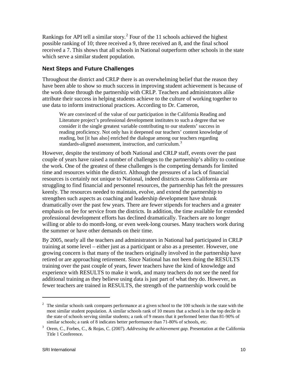Rankings for API tell a similar story.<sup>[2](#page-11-0)</sup> Four of the 11 schools achieved the highest possible ranking of 10; three received a 9, three received an 8, and the final school received a 7. This shows that all schools in National outperform other schools in the state which serve a similar student population.

#### **Next Steps and Future Challenges**

Throughout the district and CRLP there is an overwhelming belief that the reason they have been able to show so much success in improving student achievement is because of the work done through the partnership with CRLP. Teachers and administrators alike attribute their success in helping students achieve to the culture of working together to use data to inform instructional practices. According to Dr. Cameron,

We are convinced of the value of our participation in the California Reading and Literature project's professional development institutes to such a degree that we consider it the single greatest variable contributing to our students' success in reading proficiency. Not only has it deepened our teachers' content knowledge of reading, but [it has also] enriched the dialogue among our teachers regarding standards-aligned assessment, instruction, and curriculum.<sup>[3](#page-11-1)</sup>

However, despite the testimony of both National and CRLP staff, events over the past couple of years have raised a number of challenges to the partnership's ability to continue the work. One of the greatest of these challenges is the competing demands for limited time and resources within the district. Although the pressures of a lack of financial resources is certainly not unique to National, indeed districts across California are struggling to find financial and personnel resources, the partnership has felt the pressures keenly. The resources needed to maintain, evolve, and extend the partnership to strengthen such aspects as coaching and leadership development have shrunk dramatically over the past few years. There are fewer stipends for teachers and a greater emphasis on fee for service from the districts. In addition, the time available for extended professional development efforts has declined dramatically. Teachers are no longer willing or able to do month-long, or even week-long courses. Many teachers work during the summer or have other demands on their time.

By 2005, nearly all the teachers and administrators in National had participated in CRLP training at some level – either just as a participant or also as a presenter. However, one growing concern is that many of the teachers originally involved in the partnership have retired or are approaching retirement. Since National has not been doing the RESULTS training over the past couple of years, fewer teachers have the kind of knowledge and experience with RESULTS to make it work, and many teachers do not see the need for additional training as they believe using data is just part of what they do. However, as fewer teachers are trained in RESULTS, the strength of the partnership work could be

 $\overline{a}$ 

<span id="page-11-0"></span><sup>&</sup>lt;sup>2</sup> The similar schools rank compares performance at a given school to the 100 schools in the state with the most similar student population. A similar schools rank of 10 means that a school is in the top decile in the state of schools serving similar students; a rank of 9 means that it performed better than 81-90% of similar schools; a rank of 8 indicates better performance than 71-80% of schools, etc.

<span id="page-11-1"></span><sup>3</sup> Orem, C., Forbes, C., & Rojas, C. (2007). *Addressing the achievement gap.* Presentation at the California Title 1 Conference.